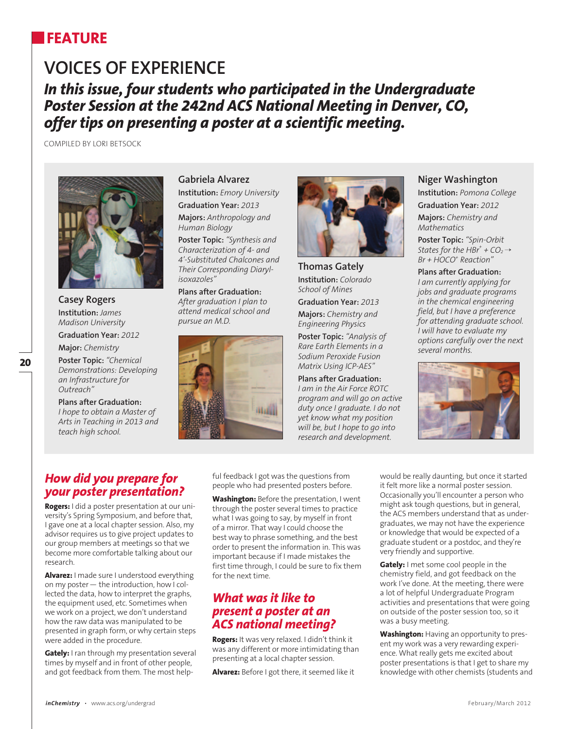## **FEATURE**

# **Voices of Experience** *In this issue, four students who participated in the Undergraduate Poster Session at the 242nd ACS National Meeting in Denver, CO, offer tips on presenting a poster at a scientific meeting.*

Compiled by Lori Betsock



**Casey Rogers Institution:** *James Madison University*

**Graduation Year:** *2012* **Major:** *Chemistry* 

**Poster Topic:** *"Chemical Demonstrations: Developing an Infrastructure for Outreach"*

**Plans after Graduation:** *I hope to obtain a Master of Arts in Teaching in 2013 and teach high school.*

**Gabriela Alvarez Institution:** *Emory University* **Graduation Year:** *2013* 

**Majors:** *Anthropology and Human Biology*

**Poster Topic:** *"Synthesis and Characterization of 4- and 4'-Substituted Chalcones and Their Corresponding Diarylisoxazoles"*

**Plans after Graduation:** *After graduation I plan to attend medical school and pursue an M.D.*





**Thomas Gately Institution:** *Colorado School of Mines*

**Graduation Year:** *2013* **Majors:** *Chemistry and Engineering Physics*

**Poster Topic:** *"Analysis of Rare Earth Elements in a Sodium Peroxide Fusion Matrix Using ICP-AES"*

**Plans after Graduation:** *I am in the Air Force ROTC program and will go on active duty once I graduate. I do not yet know what my position will be, but I hope to go into research and development.*

#### **Niger Washington**

**Institution:** *Pomona College*

**Graduation Year:** *2012*

**Majors:** *Chemistry and Mathematics*

**Poster Topic:** *"Spin-Orbit States for the*  $HBr^+ + CO_2 \rightarrow$ *Br + HOCO+ Reaction"*

**Plans after Graduation:** *I am currently applying for jobs and graduate programs in the chemical engineering field, but I have a preference for attending graduate school. I will have to evaluate my options carefully over the next several months.*



#### *How did you prepare for your poster presentation?*

**Rogers:** I did a poster presentation at our university's Spring Symposium, and before that, I gave one at a local chapter session. Also, my advisor requires us to give project updates to our group members at meetings so that we become more comfortable talking about our research.

**Alvarez:** I made sure I understood everything on my poster— the introduction, how I collected the data, how to interpret the graphs, the equipment used, etc. Sometimes when we work on a project, we don't understand how the raw data was manipulated to be presented in graph form, or why certain steps were added in the procedure.

**Gately:** I ran through my presentation several times by myself and in front of other people, and got feedback from them. The most helpful feedback I got was the questions from people who had presented posters before.

**Washington:** Before the presentation, I went through the poster several times to practice what I was going to say, by myself in front of a mirror. That way I could choose the best way to phrase something, and the best order to present the information in. This was important because if I made mistakes the first time through, I could be sure to fix them for the next time.

#### *What was it like to present a poster at an ACS national meeting?*

**Rogers:** It was very relaxed. I didn't think it was any different or more intimidating than presenting at a local chapter session.

**Alvarez:** Before I got there, it seemed like it

would be really daunting, but once it started it felt more like a normal poster session. Occasionally you'll encounter a person who might ask tough questions, but in general, the ACS members understand that as undergraduates, we may not have the experience or knowledge that would be expected of a graduate student or a postdoc, and they're very friendly and supportive.

**Gately:** I met some cool people in the chemistry field, and got feedback on the work I've done. At the meeting, there were a lot of helpful Undergraduate Program activities and presentations that were going on outside of the poster session too, so it was a busy meeting.

**Washington:** Having an opportunity to present my work was a very rewarding experience. What really gets me excited about poster presentations is that I get to share my knowledge with other chemists (students and